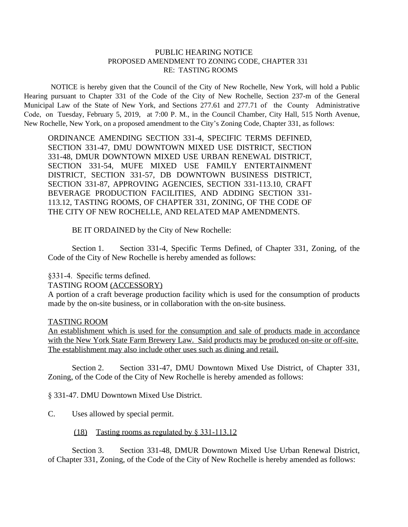## PUBLIC HEARING NOTICE PROPOSED AMENDMENT TO ZONING CODE, CHAPTER 331 RE: TASTING ROOMS

NOTICE is hereby given that the Council of the City of New Rochelle, New York, will hold a Public Hearing pursuant to Chapter 331 of the Code of the City of New Rochelle, Section 237-m of the General Municipal Law of the State of New York, and Sections 277.61 and 277.71 of the County Administrative Code, on Tuesday, February 5, 2019, at 7:00 P. M., in the Council Chamber, City Hall, 515 North Avenue, New Rochelle, New York, on a proposed amendment to the City's Zoning Code, Chapter 331, as follows:

ORDINANCE AMENDING SECTION 331-4, SPECIFIC TERMS DEFINED, SECTION 331-47, DMU DOWNTOWN MIXED USE DISTRICT, SECTION 331-48, DMUR DOWNTOWN MIXED USE URBAN RENEWAL DISTRICT, SECTION 331-54, MUFE MIXED USE FAMILY ENTERTAINMENT DISTRICT, SECTION 331-57, DB DOWNTOWN BUSINESS DISTRICT, SECTION 331-87, APPROVING AGENCIES, SECTION 331-113.10, CRAFT BEVERAGE PRODUCTION FACILITIES, AND ADDING SECTION 331- 113.12, TASTING ROOMS, OF CHAPTER 331, ZONING, OF THE CODE OF THE CITY OF NEW ROCHELLE, AND RELATED MAP AMENDMENTS.

BE IT ORDAINED by the City of New Rochelle:

Section 1. Section 331-4, Specific Terms Defined, of Chapter 331, Zoning, of the Code of the City of New Rochelle is hereby amended as follows:

## §331-4. Specific terms defined.

### TASTING ROOM (ACCESSORY)

A portion of a craft beverage production facility which is used for the consumption of products made by the on-site business, or in collaboration with the on-site business.

### TASTING ROOM

An establishment which is used for the consumption and sale of products made in accordance with the New York State Farm Brewery Law. Said products may be produced on-site or off-site. The establishment may also include other uses such as dining and retail.

Section 2. Section 331-47, DMU Downtown Mixed Use District, of Chapter 331, Zoning, of the Code of the City of New Rochelle is hereby amended as follows:

§ 331-47. DMU Downtown Mixed Use District.

C. Uses allowed by special permit.

### (18) Tasting rooms as regulated by § 331-113.12

Section 3. Section 331-48, DMUR Downtown Mixed Use Urban Renewal District, of Chapter 331, Zoning, of the Code of the City of New Rochelle is hereby amended as follows: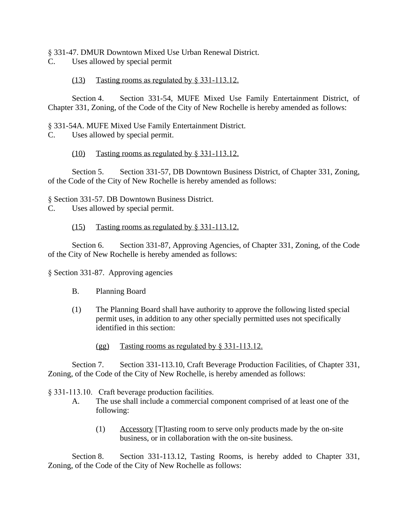# § 331-47. DMUR Downtown Mixed Use Urban Renewal District.

C. Uses allowed by special permit

# (13) Tasting rooms as regulated by § 331-113.12.

Section 4. Section 331-54, MUFE Mixed Use Family Entertainment District, of Chapter 331, Zoning, of the Code of the City of New Rochelle is hereby amended as follows:

## § 331-54A. MUFE Mixed Use Family Entertainment District.

C. Uses allowed by special permit.

# (10) Tasting rooms as regulated by § 331-113.12.

Section 5. Section 331-57, DB Downtown Business District, of Chapter 331, Zoning, of the Code of the City of New Rochelle is hereby amended as follows:

§ Section 331-57. DB Downtown Business District.

C. Uses allowed by special permit.

# (15) Tasting rooms as regulated by § 331-113.12.

Section 6. Section 331-87, Approving Agencies, of Chapter 331, Zoning, of the Code of the City of New Rochelle is hereby amended as follows:

§ Section 331-87. Approving agencies

- B. Planning Board
- (1) The Planning Board shall have authority to approve the following listed special permit uses, in addition to any other specially permitted uses not specifically identified in this section:
	- (gg) Tasting rooms as regulated by § 331-113.12.

Section 7. Section 331-113.10, Craft Beverage Production Facilities, of Chapter 331, Zoning, of the Code of the City of New Rochelle, is hereby amended as follows:

§ 331-113.10. Craft beverage production facilities.

- A. The use shall include a commercial component comprised of at least one of the following:
	- (1) Accessory [T]tasting room to serve only products made by the on-site business, or in collaboration with the on-site business.

Section 8. Section 331-113.12, Tasting Rooms, is hereby added to Chapter 331, Zoning, of the Code of the City of New Rochelle as follows: